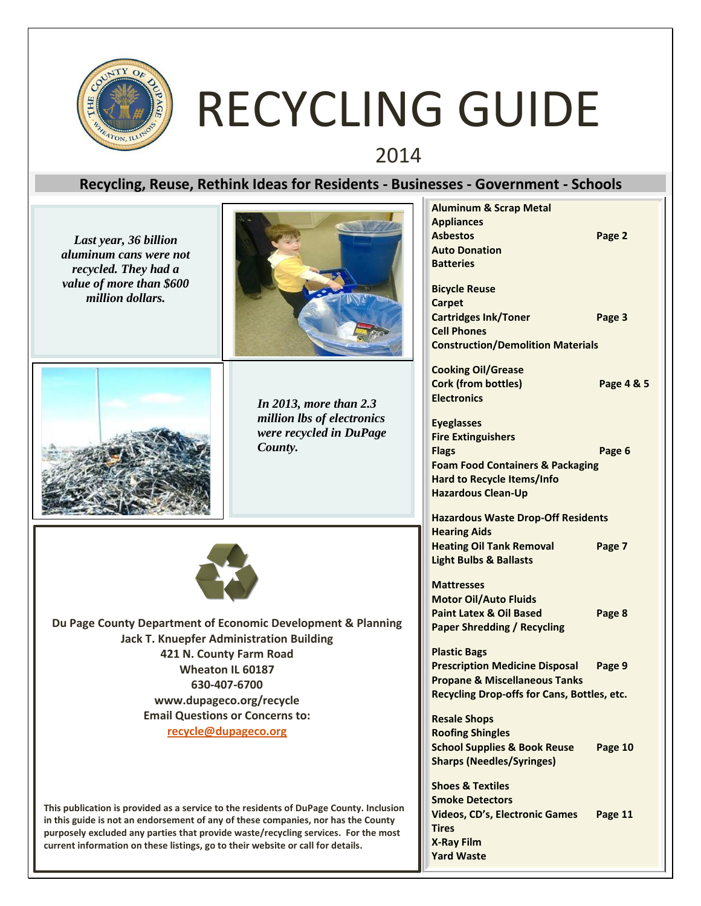

# RECYCLING GUIDE

2014

### **Recycling, Reuse, Rethink Ideas for Residents - Businesses - Government - Schools**

|                                                                                                                                                                             |                                    | <b>Aluminum &amp; Scrap Metal</b>           |            |
|-----------------------------------------------------------------------------------------------------------------------------------------------------------------------------|------------------------------------|---------------------------------------------|------------|
| Last year, 36 billion<br>aluminum cans were not<br>recycled. They had a                                                                                                     |                                    | <b>Appliances</b>                           |            |
|                                                                                                                                                                             |                                    | <b>Asbestos</b>                             | Page 2     |
|                                                                                                                                                                             |                                    | <b>Auto Donation</b>                        |            |
|                                                                                                                                                                             |                                    | <b>Batteries</b>                            |            |
| value of more than \$600                                                                                                                                                    |                                    | <b>Bicycle Reuse</b>                        |            |
| million dollars.                                                                                                                                                            |                                    | <b>Carpet</b>                               |            |
|                                                                                                                                                                             |                                    | <b>Cartridges Ink/Toner</b>                 | Page 3     |
|                                                                                                                                                                             |                                    | <b>Cell Phones</b>                          |            |
|                                                                                                                                                                             |                                    | <b>Construction/Demolition Materials</b>    |            |
|                                                                                                                                                                             |                                    |                                             |            |
|                                                                                                                                                                             | In 2013, more than $2.3$           | <b>Cooking Oil/Grease</b>                   |            |
|                                                                                                                                                                             |                                    | <b>Cork (from bottles)</b>                  | Page 4 & 5 |
|                                                                                                                                                                             |                                    | <b>Electronics</b>                          |            |
|                                                                                                                                                                             | million lbs of electronics         | <b>Eyeglasses</b>                           |            |
|                                                                                                                                                                             | were recycled in DuPage<br>County. | <b>Fire Extinguishers</b>                   |            |
|                                                                                                                                                                             |                                    | <b>Flags</b>                                | Page 6     |
|                                                                                                                                                                             |                                    | <b>Foam Food Containers &amp; Packaging</b> |            |
|                                                                                                                                                                             |                                    | <b>Hard to Recycle Items/Info</b>           |            |
|                                                                                                                                                                             |                                    | <b>Hazardous Clean-Up</b>                   |            |
|                                                                                                                                                                             |                                    | <b>Hazardous Waste Drop-Off Residents</b>   |            |
|                                                                                                                                                                             |                                    | <b>Hearing Aids</b>                         |            |
|                                                                                                                                                                             |                                    | <b>Heating Oil Tank Removal</b>             | Page 7     |
|                                                                                                                                                                             |                                    | <b>Light Bulbs &amp; Ballasts</b>           |            |
|                                                                                                                                                                             |                                    |                                             |            |
|                                                                                                                                                                             |                                    | <b>Mattresses</b>                           |            |
|                                                                                                                                                                             |                                    | <b>Motor Oil/Auto Fluids</b>                |            |
|                                                                                                                                                                             |                                    | <b>Paint Latex &amp; Oil Based</b>          | Page 8     |
| Du Page County Department of Economic Development & Planning                                                                                                                |                                    | <b>Paper Shredding / Recycling</b>          |            |
| <b>Jack T. Knuepfer Administration Building</b>                                                                                                                             |                                    |                                             |            |
| 421 N. County Farm Road                                                                                                                                                     |                                    | <b>Plastic Bags</b>                         |            |
| Wheaton IL 60187                                                                                                                                                            |                                    | <b>Prescription Medicine Disposal</b>       | Page 9     |
| 630-407-6700                                                                                                                                                                |                                    | <b>Propane &amp; Miscellaneous Tanks</b>    |            |
| www.dupageco.org/recycle                                                                                                                                                    |                                    | Recycling Drop-offs for Cans, Bottles, etc. |            |
| <b>Email Questions or Concerns to:</b>                                                                                                                                      |                                    | <b>Resale Shops</b>                         |            |
| recycle@dupageco.org                                                                                                                                                        |                                    | <b>Roofing Shingles</b>                     |            |
|                                                                                                                                                                             |                                    | <b>School Supplies &amp; Book Reuse</b>     | Page 10    |
|                                                                                                                                                                             |                                    | <b>Sharps (Needles/Syringes)</b>            |            |
|                                                                                                                                                                             |                                    |                                             |            |
| This publication is provided as a service to the residents of DuPage County. Inclusion<br>in this guide is not an endorsement of any of these companies, nor has the County |                                    | <b>Shoes &amp; Textiles</b>                 |            |
|                                                                                                                                                                             |                                    | <b>Smoke Detectors</b>                      |            |
|                                                                                                                                                                             |                                    | <b>Videos, CD's, Electronic Games</b>       | Page 11    |
| purposely excluded any parties that provide waste/recycling services. For the most                                                                                          |                                    | <b>Tires</b>                                |            |
| current information on these listings, go to their website or call for details.                                                                                             |                                    | <b>X-Ray Film</b>                           |            |
|                                                                                                                                                                             |                                    | <b>Yard Waste</b>                           |            |
|                                                                                                                                                                             |                                    |                                             |            |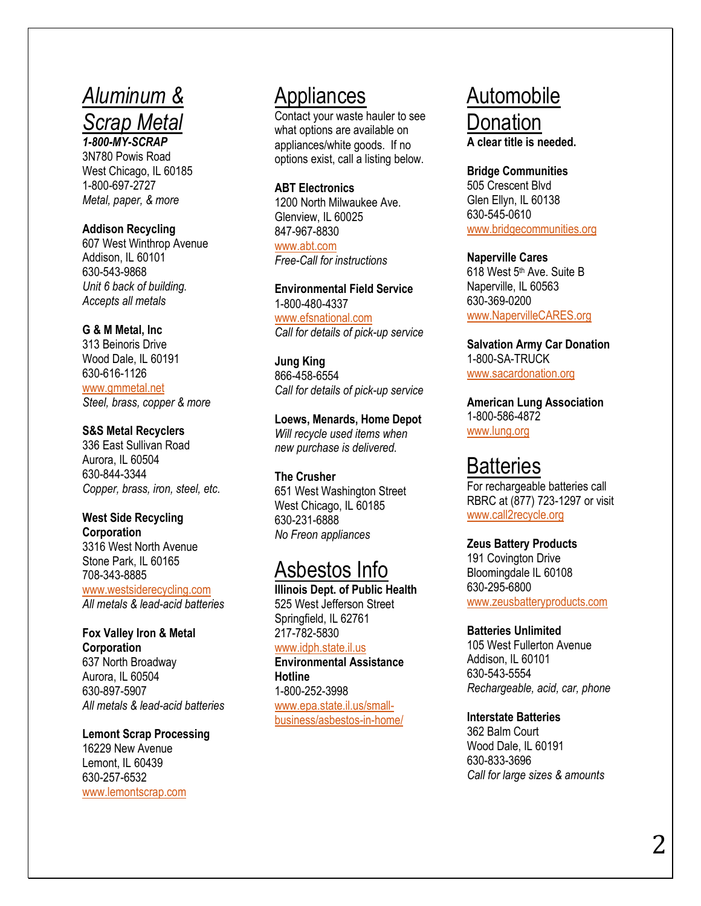### *Aluminum & Scrap Metal 1-800-MY-SCRAP*

3N780 Powis Road West Chicago, IL 60185 1-800-697-2727 *Metal, paper, & more*

#### **Addison Recycling**

607 West Winthrop Avenue Addison, IL 60101 630 -543 -9868 *Unit 6 back of building. Accepts all metals*

### **G & M Metal, Inc**

313 Beinoris Drive Wood Dale, IL 60191 630 -616 -1126 [www.gmmetal.net](http://www.gmmetal.net/) *Steel, brass, copper & more*

#### **S&S Metal Recyclers**

336 East Sullivan Road Aurora, IL 60504 630 -844 -3344 *Copper, brass, iron, steel, etc.*

#### **West Side Recycling Corporation**

3316 West North Avenue Stone Park, IL 60165 708 -343 -8885

[www.westsiderecycling.com](http://www.westsiderecycling.com/) *All metals & lead -acid batteries*

### **Fox Valley Iron & Metal Corporation**

637 North Broadway Aurora, IL 60504 630 -897 -5907 *All metals & lead -acid batteries*

**Lemont Scrap Processing** 16229 New Avenue Lemont, IL 60439 630 -257 -6532 [www.lemontscrap.com](http://www.lemontscrap.com/)

### Appliances

Contact your waste hauler to see what options are available on appliances/white goods. If no options exist, call a listing below.

#### **ABT Electronics**

1200 North Milwaukee Ave. Glenview, IL 60025 847 -967 -8830 [www.abt.com](http://www.abt.com/) *Free -Call for instructions*

**Environmental Field Service** 1-800-480-4337 [www.efsnational.com](http://www.efsnational.com/)

*Call for details of pick-up service*

#### **Jung King** 866 -458 -6554 *Call for details of pick-up service*

**Loews, Menards, Home Depot** *Will recycle used items when new purchase is delivered.*

#### **The Crusher** 651 West Washington Street West Chicago, IL 60185 630 -231 -6888

*No Freon appliances* 

### Asbestos Info

**Illinois Dept . of Public Health** 525 West Jefferson Street Springfield, IL 62761 217 -782 -5830

### [www.idph.state.il.us](http://www.idph.state.il.us/)

**Environmental Assistance Hotline** 1-800-252 -3998 [www.epa.state.il.us/small](http://www.epa.state.il.us/small-business/asbestos-in-home/) [business/asbestos](http://www.epa.state.il.us/small-business/asbestos-in-home/) -in -home/

### Automobile Donation **A clear title is needed .**

**Bridge Communities** 505 Crescent Blvd Glen Ellyn, IL 60138 630 -545 -0610 [www.bridgecommunities.org](http://www.bridgecommunities.org/)

### **Naperville Cares**

618 West 5<sup>th</sup> Ave. Suite B Naperville, IL 60563 630 -369 -0200 [www.NapervilleCARES.org](http://www.napervillecares.org/)

**Salvation Army Car Donation** 1-800-SA-TRUCK [www.sacardonation.org](http://www.sacardonation.org/)

**American Lung Association** 1-800-586-4872 [www.lung.org](http://www.lung.org/)

### **Batteries**

For rechargeable batteries call RBRC at (877) 723 -1297 or visit [www.call2recycle.org](http://www.call2recycle.org/)

#### **Zeus Battery Products**

191 Covington Drive Bloomingdale IL 60108 630 -295 -6800 [www.zeusbatteryproducts.com](http://www.zeusbatteryproducts.com/)

#### **Batteries Unlimited**

105 West Fullerton Avenue Addison, IL 60101 630 -543 -5554 *Rechargeable, acid, car, phone*

#### **Interstate Batteries**

362 Balm Court Wood Dale, IL 60191 630 -833 -3696 *Call for large sizes & amounts*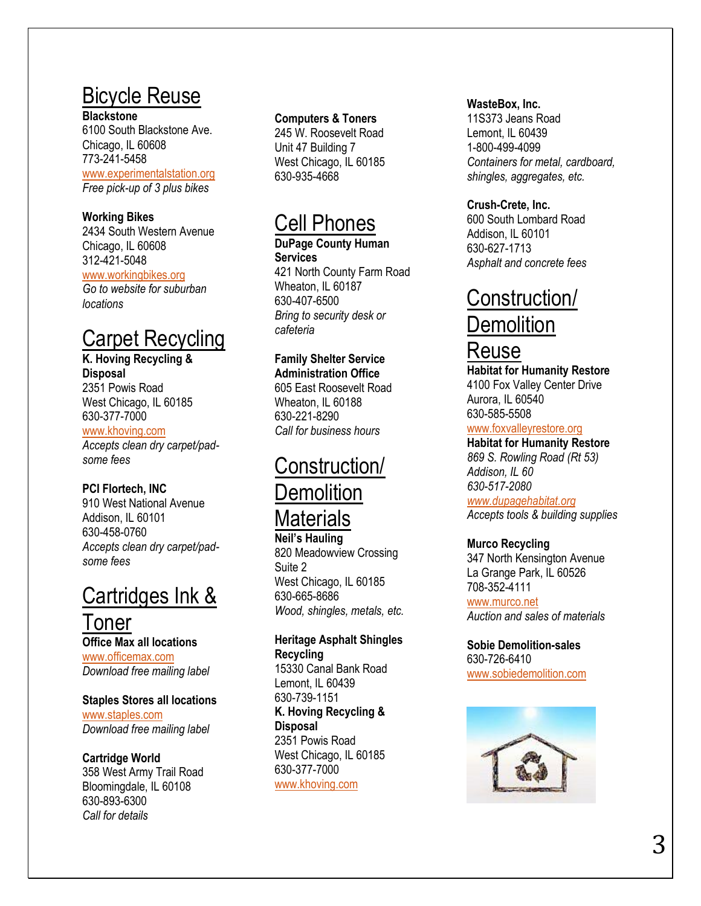## Bicycle Reuse

**Blackstone**

6100 South Blackstone Ave. Chicago, IL 60608 773 -241 -5458 [www.experimentalstation.org](http://www.experimentalstation.org/) *Free pick-up of 3 plus bikes*

### **Working Bikes**

2434 South Western Avenue Chicago, IL 60608 312 -421 -5048 [www.workingbikes.org](http://www.workingbikes.org/) *Go to website for suburban locations*

## Carpet Recycling

**K. Hoving Recycling & Disposal** 2351 Powis Road West Chicago, IL 60185 630 -377 -7000 [www.khoving.com](http://www.khoving.com/) *Accepts clean dry carpet/pad some fees*

### **PCI Flortech, INC**

910 West National Avenue Addison, IL 60101 630 -458 -0760 *Accepts clean dry carpet/pad some fees*

## Cartridges Ink & Toner

**Office Max all locations** [www.officemax.com](http://www.officemax.com/) *Download free mailing label*

### **Staples Stores all locations**

[www.staples.com](http://www.staples.com/) *Download free mailing label*

### **Cartridge World**

358 West Army Trail Road Bloomingdale, IL 60108 630 -893 -6300 *Call for details*

### **Computers & Toners**

245 W. Roosevelt Road Unit 47 Building 7 West Chicago, IL 60185 630 -935 -4668

### Cell Phones

**DuPage County Human Services** 421 North County Farm Road Wheaton, IL 60187 630 -407 -6500 *Bring to security desk or cafeteria*

### **Family Shelter Service**

**Administration Office** 605 East Roosevelt Road Wheaton, IL 60188 630 -221 -8290 *Call for business hours*

## Construction/ **Demolition Materials**

**Neil's Hauling** 820 Meadowview Crossing Suite 2 West Chicago, IL 60185 630 -665 -8686 *Wood, shingles, metals, etc.*

**Heritage Asphalt Shingles Recycling** 15330 Canal Bank Road Lemont, IL 60439 630 -739 -1151 **K. Hoving Recycling & Disposal** 2351 Powis Road West Chicago, IL 60185 630 -377 -7000

[www.khoving.com](http://www.khoving.com/)

### **W asteBox, Inc.**

11S373 Jeans Road Lemont, IL 60439 1-800-499-4099 *Containers for metal, cardboard, shingles, aggregates, etc.*

### **Crush -Crete, Inc.**

600 South Lombard Road Addison, IL 60101 630 -627 -1713 *Asphalt and concrete fees*

## Construction/

## **Demolition**

### Reuse

**Habitat for Humanity Restore** 4100 Fox Valley Center Drive Aurora, IL 60540 630 -585 -5508

### [www.foxvalleyrestore.org](http://www.foxvalleyrestore.org/)

**Habitat for Humanity Restore** *869 S. Rowling Road (Rt 53) Addison, IL 60 630 -517 -2080*

*[www.dupagehabitat.org](http://www.dupagehabitat.org/) Accepts tools & building supplies*

### **Murco Recycling**

347 North Kensington Avenue La Grange Park, IL 60526 708 -352 -4111 [www.murco.net](http://www.murco.net/) *Auction and sales of materials*

**Sobie Demolition -sales** 630 -726 -6410 [www.sobiedemolition.com](http://www.sobiedemolition.com/)

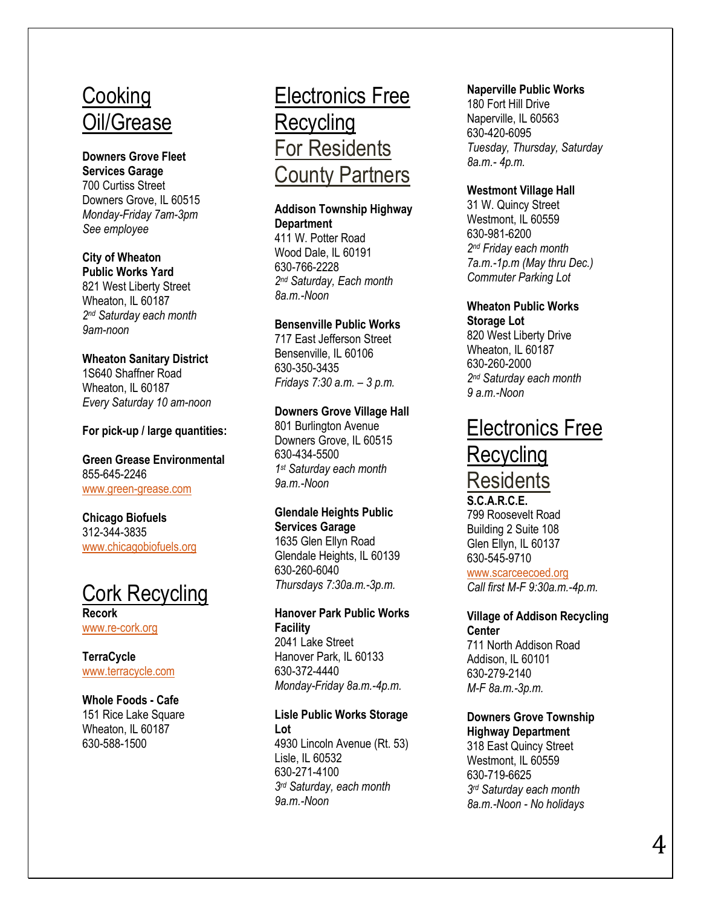### **Cooking** Oil/Grease

### **Downers Grove Fleet Services Garage** 700 Curtiss Street Downers Grove, IL 60515

*Monday-Friday 7am -3pm See employee*

### **City of Wheaton**

**Public Works Yard** 821 West Liberty Street Wheaton, IL 60187 *2 nd Saturday each month 9am -noon*

### **Wheaton Sanitary District**

1S640 Shaffner Road Wheaton, IL 60187 *Every Saturday 10 am -noon*

### **For pick -up / large quantities :**

**Green Grease Environmental** 855 -645 -2246 www.green [-grease.com](http://www.green-grease.com/)

### **Chicago Biofuels** 312 -344 -3835 [www.chicagobiofuels.org](http://www.chicagobiofuels.org/)



**Recork** www.re [-cork.org](http://www.re-cork.org/)

**TerraCycle** [www.terracycle.com](http://www.terracycle.com/)

### **Whole Foods - Cafe**

151 Rice Lake Square Wheaton, IL 60187 630 -588 -1500

## Electronics Free **Recycling** For Residents County Partners

### **Addison Township Highway Department**

411 W. Potter Road Wood Dale, IL 60191 630 -766 -2228 *2 nd Saturday, Each month 8a.m. -Noon*

### **Bensenville Public Works**

717 East Jefferson Street Bensenville, IL 60106 630 -350 -3435 *Fridays 7:30 a.m. – 3 p.m.*

### **Downers Grove Village Hall**

801 Burlington Avenue Downers Grove, IL 60515 630 -434 -5500 *1 st Saturday each month 9a.m. - Noon*

#### **Glendale Heights Public Services Garage**

1635 Glen Ellyn Road Glendale Heights, IL 60139 630 -260 -6040 *Thursdays 7:30a.m. -3p.m.*

### **Hanover Park Public Works Facility**

2041 Lake Street Hanover Park, IL 60133 630 -372 -4440 *Monday-Friday 8a.m. -4p.m.*

#### **Lisle Public Works Storage Lot**

4930 Lincoln Avenue (Rt. 53) Lisle, IL 60532 630 -271 -4100 *3 rd Saturday, each month 9a.m. -Noon*

### **Naperville Public Works**

180 Fort Hill Drive Naperville, IL 60563 630 -420 -6095 *Tuesday, Thursday, Saturday 8a.m. - 4p.m.* 

### **Westmont Village Hall**

31 W. Quincy Street Westmont, IL 60559 630 -981 -6200 *2 nd Friday each month 7a.m. -1p.m (May thru Dec.) Commuter Parking Lot*

### **Wheaton Public Works**

**Storage Lot** 820 West Liberty Drive Wheaton, IL 60187 630 -260 -2000 *2 nd Saturday each month 9 a.m. -Noon*

### Electronics Free **Recycling Residents**

**S.C.A.R.C.E.** 799 Roosevelt Road Building 2 Suite 108 Glen Ellyn, IL 60137 630 -545 -9710

[www.scarceecoed.org](http://www.scarceecoed.org/) *Call first M -F 9:30a.m. -4p.m.*

### **Village of Addison Recycling Center**

711 North Addison Road Addison, IL 60101 630 -279 -2140 *M -F 8a.m. -3p.m.*

#### **Downers Grove Township Highway Department**

318 East Quincy Street Westmont, IL 60559 630 -719 -6625 *3 rd Saturday each month 8a.m. - Noon - No holidays*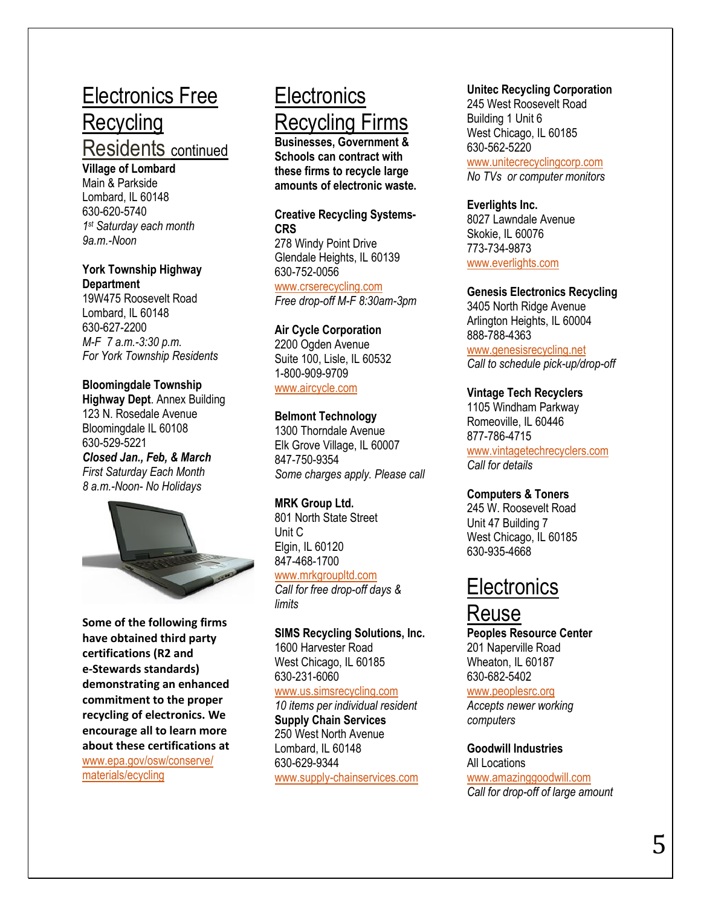## Electronics Free **Recycling**

### Residents continued

**Village of Lombard** Main & Parkside Lombard, IL 60148 630 -620 -5740 *1 st Saturday each month 9a.m. -Noon*

### **York Township Highway Department**

19W475 Roosevelt Road Lombard, IL 60148 630 -627 -2200 *M -F 7 a.m. -3:30 p.m. For York Township Residents*

### **Bloomingdale Tow nship**

**Highway Dept**. Annex Building 123 N. Rosedale Avenue Bloomingdale IL 60108 630 -529 -5221 *Closed Jan., Feb, & March First Saturday Each Month 8 a.m. -Noon - No Holidays*



**Some of the following firms have obtained third party certification s (R2 and e -Stewards standards) demonstrating an enhanced commitment to the proper recycling of electronics. We encourage all to learn more about these certifications at** [www.epa.gov/osw/conserve/](http://www.epa.gov/osw/conserve/%20materials/ecycling)  [materials/ecycling](http://www.epa.gov/osw/conserve/%20materials/ecycling)

## **Electronics** Recycling Firms

**Businesses, Government & School s can contract with these firms to recycle large amounts of electronic waste.**

### **Creative Recycling Systems - CRS**

278 Windy Point Drive Glendale Heights, IL 60139 630 -752 -0056

[www.crserecycling.com](http://www.crserecycling.com/) *Free drop -off M -F 8:30am -3pm*

### **Air Cycle Corporation**

2200 Ogden Avenue Suite 100, Lisle, IL 60532 1-800-909-9709

[www.aircycle.com](http://www.aircycle.com/)

### **Belmont Technology**

1300 Thorndale Avenue Elk Grove Village, IL 60007 847 -750 -9354 *Some charges apply. Please call*

### **MRK Group Ltd.**

801 North State Street Unit C Elgin, IL 60120 847 -468 -1700

### [www.mrkgroupltd.com](http://www.mrkgroupltd.com/)

*Call for free drop -off days & limits*

### **SIMS Recycling Solutions, Inc.** 1600 Harvester Road West Chicago, IL 60185 630 -231 -6060

[www.us.simsrecycling.com](http://www.us.simsrecycling.com/) *10 items per individual resident* **Supply Chain Services** 250 West North Avenue Lombard, IL 60148

630 -629 -9344 www.supply [-chainservices.com](http://www.supply-chainservices.com/)

### **Unitec Recycling Corporation**

245 West Roosevelt Road Building 1 Unit 6 West Chicago, IL 60185 630 -562 -5220 [www.unitecrecyclingcorp.com](http://www.unitecrecyclingcorp.com/) *No TVs or computer monitors*

### **Everlights Inc.** 8027 Lawndale Avenue Skokie, IL 60076 773 -734 -9873 [www.everlights.com](http://www.everlights.com/)

### **Genesis Electronics Recycling**

3405 North Ridge Avenue Arlington Heights, IL 60004 888 -788 -4363 [www.genesisrecycling.net](http://www.genesisrecycling.net/)

*Call to schedule pick -up/drop -off*

### **Vintage Tech Recyclers**

1105 Windham Parkway Romeoville, IL 60446 877 -786 -4715 [www.vintagetechrecyclers.com](http://www.vintagetechrecyclers.com/) *Call for details*

### **Computers & Toners**

245 W. Roosevelt Road Unit 47 Building 7 West Chicago, IL 60185 630 -935 -4668

### **Electronics**

### Reuse

**Peoples Resource Center** 201 Naperville Road Wheaton, IL 60187 630 -682 -5402 [www.peoplesrc.org](http://www.peoplesrc.org/) *Accepts newer working computers* 

**Goodwill Industries**  All Locations [www.amazinggoodwill.com](http://www.amazinggoodwill.com/) *Call for drop -off of large amount*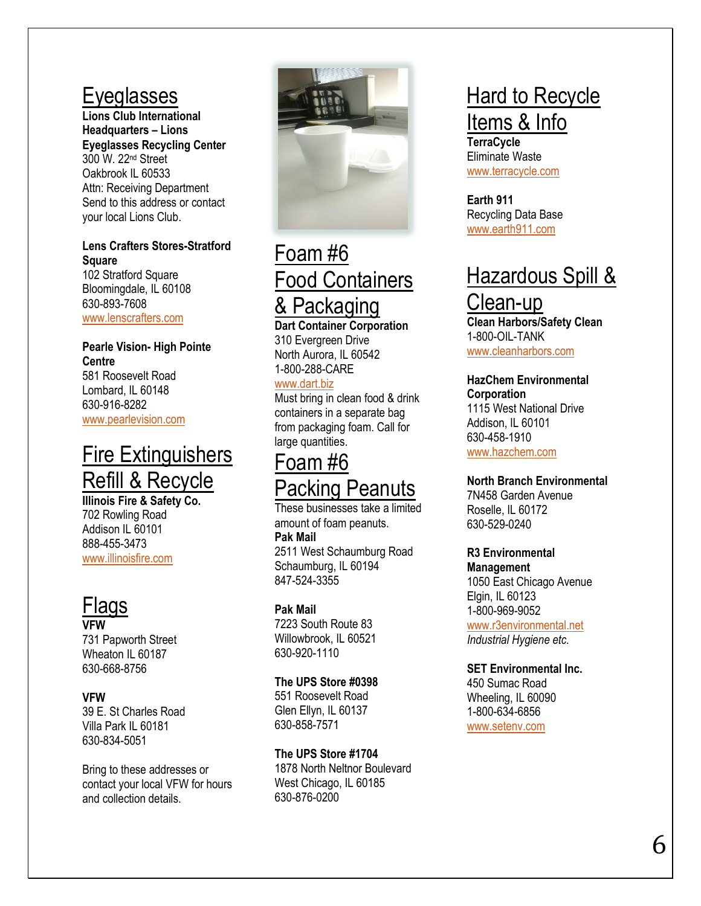### **Eveglasses**

**Lions Club International Headquarters – Lions Eyeglasses Recycling Center** 300 W. 22nd Street Oakbrook IL 60533 Attn: Receiving Department Send to this address or contact your local Lions Club.

### **Lens Crafters Stores -Stratford Square**

102 Stratford Square Bloomingdale, IL 60108 630 -893 -7608 [www.lenscrafters.com](http://www.lenscrafters.com/)

### **Pearle Vision - High Pointe Centre** 581 Roosevelt Road Lombard, IL 60148 630 -916 -8282

[www.pearlevision.com](http://www.pearlevision.com/)

## Fire Extinguishers Refill & Recycle

**Il linois Fire & Safety Co.** 702 Rowling Road Addison IL 60101 888 -455 -3473 [www.illinoisfire.com](http://www.illinoisfire.com/)

## Flags

**VFW**  731 Papworth Street Wheaton IL 60187 630 -668 -8756

### **VFW**

39 E. St Charles Road Villa Park IL 60181 630 -834 -5051

Bring to these addresses or contact your local VFW for hours and collection details.



### Foam #6 Food Containers & Packaging **Dart Container Corporation**

310 Evergreen Drive North Aurora, IL 60542 1-800-288-CARE

### [www.dart.biz](http://www.dart.biz/)

Must bring in clean food & drink containers in a separate bag from packaging foam. Call for large quantities.

### Foam #6 acking Peanuts

These businesses take a limited amount of foam peanuts. **Pak Mail** 2511 West Schaumburg Road Schaumburg, IL 60194 847 -524 -3355

### **Pak Mail**

7223 South Route 83 Willowbrook, IL 60521 630 -920 -1110

### **The UPS Store #0398**

551 Roosevelt Road Glen Ellyn, IL 60137 630 -858 -7571

### **The UPS Store #1704**

1878 North Neltnor Boulevard West Chicago, IL 60185 630 -876 -0200

## **Hard to Recycle** Items & Info

**TerraCycle** Eliminate Waste [www.terracycle.com](http://www.terracycle.com/)

**Earth 911** Recycling Data Base [www.earth911.com](http://www.earth911.com/)

## **Hazardous Spill &**

### Clean-up

**Clean Harbors/Safety Clean** 1-800-OIL-TANK [www.cleanharbors.com](http://www.cleanharbors.com/)

### **HazChem Environmental**

**Corporation** 1115 West National Drive Addison, IL 60101 630 -458 -1910

[www.hazchem.com](http://www.hazchem.com/)

### **North Branch Environmental**

7N458 Garden Avenue Roselle, IL 60172 630 -529 -0240

### **R3 Environmental**

**Management** 1050 East Chicago Avenue Elgin, IL 60123 1-800-969-9052

[www.r3environmental.net](http://www.r3environmental.net/) *Industrial Hygiene etc.*

### **SET Environmental Inc.**

450 Sumac Road Wheeling, IL 60090 1-800-634-6856 [www.setenv.com](http://www.setenv.com/)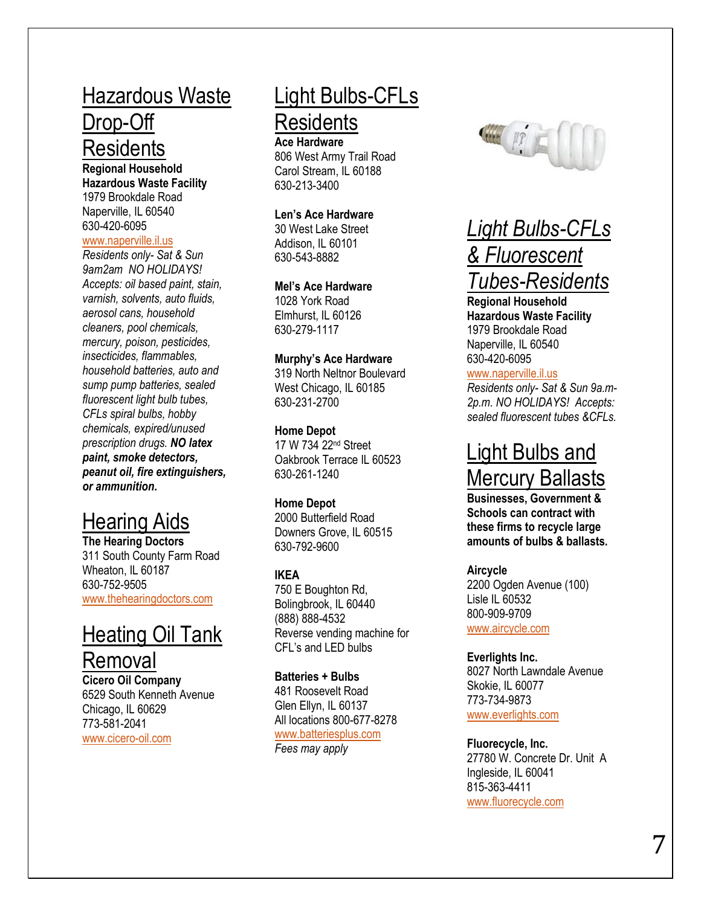## Hazardous Waste

### Drop-Off **Residents**

**Regional Household Hazardous Waste Facility**  1979 Brookdale Road Naperville, IL 60540 630 -420 -6095

#### [www.naperville.il.us](http://www.naperville.il.us/)

*Residents only- Sat & Sun 9am2am NO HOLIDAYS! Accepts: oil based paint, stain, varnish, solvents, auto fluids, aerosol cans, household cleaners, pool chemicals, mercury, poison, pesticides, insecticides, flammables, household batteries, auto and sump pump batteries, sealed fluorescent light bulb tubes, CFL s spiral bulbs, hobby chemicals, expired/unused prescription drugs. NO latex paint, smoke detectors, peanut oil, fire extinguishers, or ammunition* **.**

### Hearing Aids

**The Hearing Doctors** 311 South County Farm Road Wheaton, IL 60187 630 -752 -9505 [www.thehearingdoctors.com](http://www.thehearingdoctors.com/)

### Heating Oil Tank

**Removal** 

**Cicero Oil Company** 6529 South Kenneth Avenue Chicago, IL 60629 773 -581 -2041 [www.cicero](http://www.cicero-oil.com/) -oil.com

## Light Bulbs -CFLs **Residents**

**Ace Hardware** 806 West Army Trail Road Carol Stream, IL 60188 630 -213 -3400

#### **Len's Ace Hardware**

30 West Lake Street Addison, IL 60101 630 -543 -8882

#### **Mel's Ace Hardware**

1028 York Road Elmhurst, IL 60126 630 -279 -1117

#### **Murphy's Ace Hardware**

319 North Neltnor Boulevard West Chicago, IL 60185 630 -231 -2700

#### **Home Depot**

17 W 734 22nd Street Oakbrook Terrace IL 60523 630 -261 -1240

#### **Home Depot**

2000 Butterfield Road Downers Grove, IL 60515 630 -792 -9600

### **IKEA**

750 E Boughton Rd, Bolingbrook, IL 60440 (888) 888 -4532 Reverse vending machine for CFL's and LED bulbs

#### **Batteries + Bulbs**

481 Roosevelt Road Glen Ellyn, IL 60137 All locations 800 -677 -8278 [www.batteriesplus.com](http://www.batteriesplus.com/) *Fees may apply*



### *Light Bulbs -CFLs & Fluorescent Tubes -Residents*

**Regional Household Hazardous Waste Facility**  1979 Brookdale Road Naperville, IL 60540 630 -420 -6095

### [www.naperville.il.us](http://www.naperville.il.us/)

*Residents only- Sat & Sun 9a.m - 2p.m. NO HOLIDAYS! Accepts: sealed fluorescent tubes &CFL s.*

## Light Bulbs and Mercury Ballasts

**Businesses, Government & Schools can contract with these firms to recycle large amounts of bulbs & ballasts.**

#### **Aircycle** 2200 Ogden Avenue (100) Lisle IL 60532 800 -909 -9709 [www.aircycle.com](http://www.aircycle.com/)

**Everlights Inc.** 8027 North Lawndale Avenue Skokie, IL 60077 773 -734 -9873 [www.everlights.com](http://www.everlights.com/)

**Fluorecycle, Inc.** 27780 W. Concrete Dr. Unit A Ingleside, IL 60041 815 -363 -4411 [www.fluorecycle.com](http://www.fluorecycle.com/)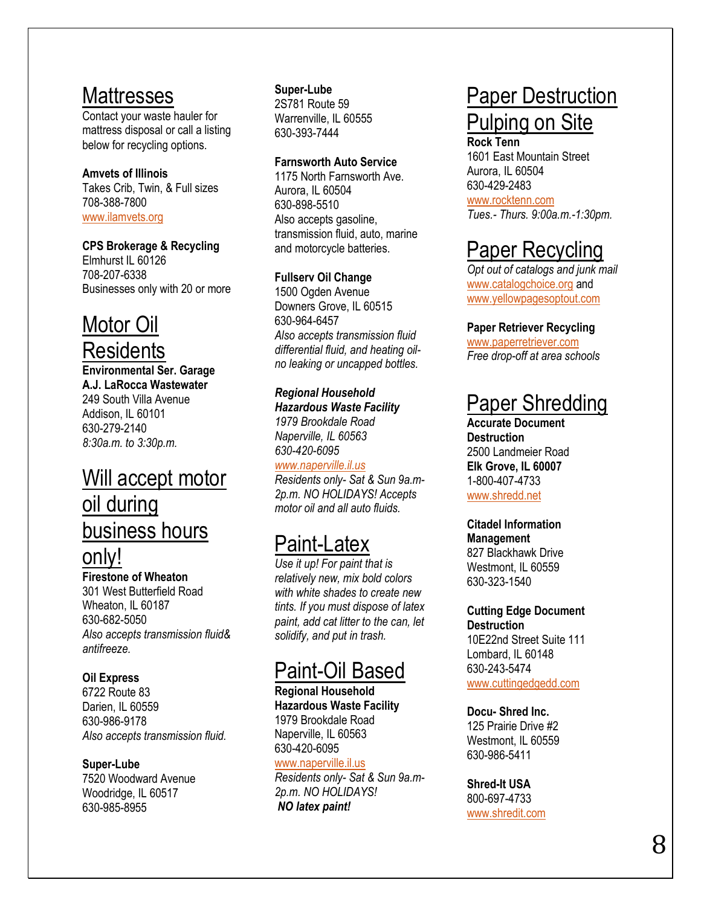### **Mattresses**

Contact your waste hauler for mattress disposal or call a listing below for recycling options.

#### **Amvets of Illinois** Takes Crib, Twin, & Full sizes 708 -388 -7800 [www.ilamvets.org](http://www.ilamvets.org/)

### **CPS Brokerage & Recycling**

Elmhurst IL 60126 708 -207 -6338 Businesses only with 20 or more

## Motor Oil

## **Residents**

**Environmental Ser. Garage A.J. LaRocca Wastewater** 249 South Villa Avenue Addison, IL 60101 630 -279 -2140 *8:30a.m. to 3:30p.m.*

## Will accept motor oil during business hours

### only!

**Firestone of Wheaton** 301 West Butterfield Road Wheaton, IL 60187 630 -682 -5050 *Also accepts transmission fluid& antifreeze.*

### **Oil Express**

6722 Route 83 Darien, IL 60559 630 -986 -9178 *Also accepts transmission fluid.* 

### **Super -Lube**

7520 Woodward Avenue Woodridge, IL 60517 630 -985 -8955

#### **Super -Lube** 2S781 Route 59 Warrenville, IL 60555 630 -393 -7444

### **Farnsworth Auto Service**

1175 North Farnsworth Ave. Aurora, IL 60504 630 -898 -5510 Also accepts gasoline, transmission fluid, auto, marine and motorcycle batteries.

### **Fullserv Oil Change**

1500 Ogden Avenue Downers Grove, IL 60515 630 -964 -6457 *Also accepts transmission fluid differential fluid, and heating oil no leaking or uncapped bottles.*

*Regional Household Hazardous Waste Facility 1979 Brookdale Road Naperville, IL 60563 630 -420 -6095*

*[www.naperville.il.us](http://www.naperville.il.us/) Residents only- Sat & Sun 9a.m - 2p.m. NO HOLIDAYS! Accepts motor oil and all auto fluids.*

## Paint-Latex

*Use it up! For paint that is relatively new, mix bold colors with white shades to create new tints. If you must dispose of latex*  paint, add cat litter to the can, let solidify, and put in trash.

## Paint -Oil Based

**Regional Household Hazardous Waste Facility**  1979 Brookdale Road Naperville, IL 60563 630 -420 -6095

### [www.naperville.il.us](http://www.naperville.il.us/)

*Residents only- Sat & Sun 9a.m - 2p.m. NO HOLIDAYS! NO latex paint !*

## Paper Destruction Pulping on Site

**Rock Tenn** 1601 East Mountain Street Aurora, IL 60504 630 -429 -2483 [www.rocktenn.com](http://www.rocktenn.com/)

*Tues.- Thurs. 9:00a.m. -1:30pm.* 

## Paper Recycling

*Opt out of catalogs and junk mail* [www.catalogchoice.org](http://www.catalogchoice.org/) and [www.yellowpagesoptout.com](http://www.yellowpagesoptout.com/)

### **Paper Retriever Recycling**

[www.paperretriever.com](http://www.paperretriever.com/) *Free drop -off at area schools*

## Paper Shredding

**Accurate Document Destruction** 2500 Landmeier Road **Elk Grove, IL 60007** 1-800-407-4733 [www.shredd.net](http://www.shredd.net/)

### **Citadel Information**

**Management** 827 Blackhawk Drive Westmont, IL 60559 630 -323 -1540

#### **Cutting Edge Document Destruction** 10E22nd Street Suite 111

Lombard, IL 60148 630 -243 -5474 [www.cuttingedgedd.com](http://www.cuttingedgedd.com/)

### **Docu - Shred Inc.**

125 Prairie Drive #2 Westmont, IL 60559 630 -986 -5411

### **Shred -It USA**

800 -697 -4733 [www.shredit.com](http://www.shredit.com/)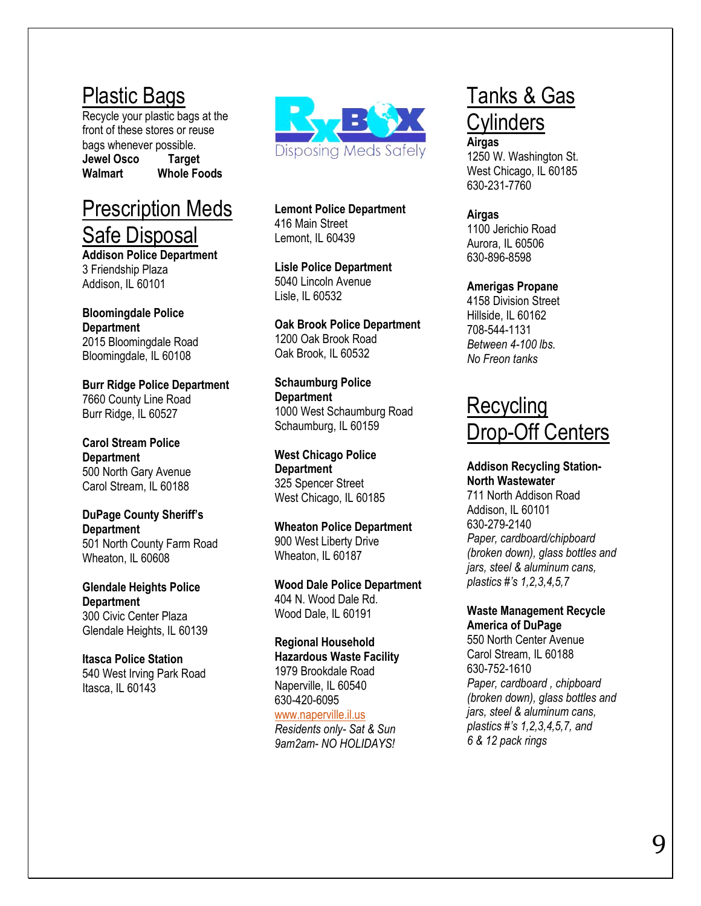## Plastic Bags

Recycle your plastic bags at the front of these stores or reuse bags whenever possible. **Jewel Osco Target Walmart Whole Foods**

### Prescription Meds Safe Disposal

**Addison Police Department** 3 Friendship Plaza Addison, IL 60101

#### **Bloomingdale Police Department** 2015 Bloomingdale Road Bloomingdale, IL 60108

**Burr Ridge Police Department** 7660 County Line Road Burr Ridge, IL 60527

**Carol Stream Police Department** 500 North Gary Avenue Carol Stream, IL 60188

**DuPage County Sheriff's Department** 501 North County Farm Road Wheaton, IL 60608

**Glendale Heights Police Department** 300 Civic Center Plaza Glendale Heights, IL 60139

**Itasca Police Station** 540 West Irving Park Road Itasca, IL 60143



**Lemont Police Department** 416 Main Street Lemont, IL 60439

**Lisle Police Department** 5040 Lincoln Avenue Lisle, IL 60532

**Oak Brook Police Department** 1200 Oak Brook Road Oak Brook, IL 60532

**Schaumburg Police Department** 1000 West Schaumburg Road Schaumburg, IL 60159

**West Chicago Police Department** 325 Spencer Street West Chicago, IL 60185

**Wheaton Police Department** 900 West Liberty Drive Wheaton, IL 60187

**Wood Dale Police Department** 404 N. Wood Dale Rd. Wood Dale, IL 60191

**Regional Household Hazardous Waste Facility**  1979 Brookdale Road Naperville, IL 60540 630 -420 -6095 [www.naperville.il.us](http://www.naperville.il.us/) *Residents only- Sat & Sun 9am2am - NO HOLIDAYS!*

## Tanks & Gas **Cylinders**

**Airgas** 1250 W. Washington St. West Chicago, IL 60185 630 -231 -7760

**Airgas** 1100 Jerichio Road Aurora, IL 60506 630 -896 -8598

### **Amerigas Propane**

4158 Division Street Hillside, IL 60162 708 -544 -1131 *Between 4 -100 lbs. No Freon tanks*

# <u>Recycling</u><br>Drop-Off Centers

### **Addison Recycling Station - North Wastewater**

711 North Addison Road Addison, IL 60101 630 -279 -2140 *Paper, cardboard/chipboard (broken down), glass bottles and jars, steel & aluminum cans, plastics #'s 1,2,3,4,5,7*

### **Waste Management Recycle America of DuPage**

550 North Center Avenue Carol Stream, IL 60188 630 -752 -1610 *Paper, cardboard , chipboard (broken down), glass bottles and jars, steel & aluminum cans, plastics #'s 1,2,3,4,5,7, and 6 & 12 pack rings*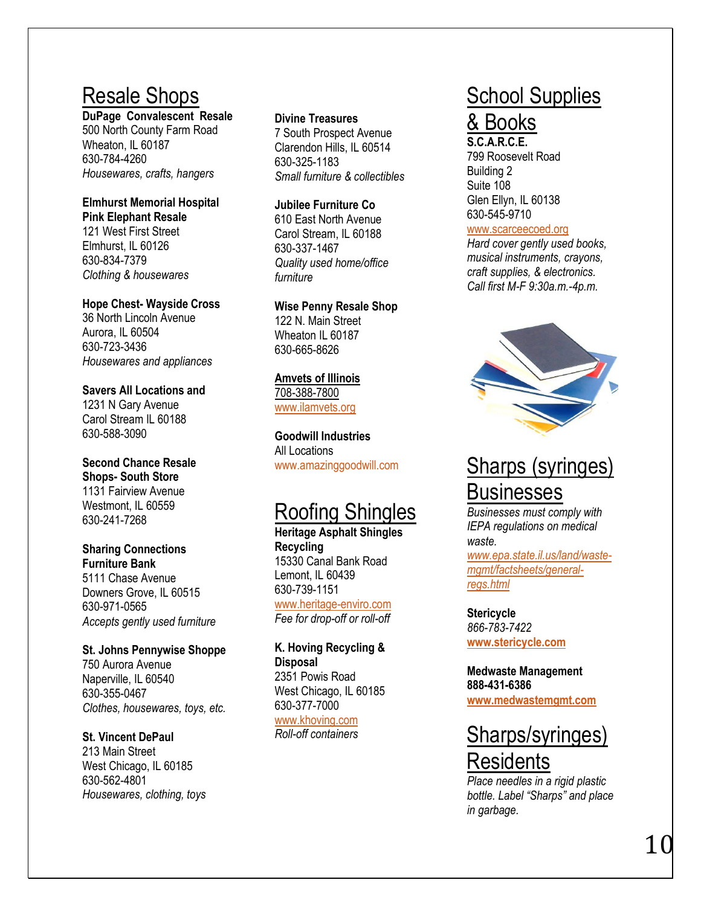## Resale Shop s

**DuPage Convalescent Resale** 

500 North County Farm Road Wheaton, IL 60187 630 -784 -4260 *Housewares, crafts, hangers*

#### **Elmhurst Memorial Hospital Pink Elephant Resale** 121 West First Street

Elmhurst, IL 60126 630 -834 -7379 *Clothing & housewares*

### **Hope Chest - Wayside Cross**

36 North Lincoln Avenue Aurora, IL 60504 630 -723 -3436 *Housewares and appliances*

**Savers All Locations and** 1231 N Gary Avenue Carol Stream IL 60188 630 -588 -3090

### **Second Chance Resale Shops - South Store** 1131 Fairview Avenue Westmont, IL 60559 630 -241 -7268

### **Sharing Connections Furniture Bank** 5111 Chase Avenue

Downers Grove, IL 60515 630 -971 -0565 *Accepts gently used furniture*

### **St. Johns Pennywise Shoppe** 750 Aurora Avenue

Naperville, IL 60540 630 -355 -0467 *Clothes, housewares, toys, etc.*

### **St. Vincent DePaul**

213 Main Street West Chicago, IL 60185 630 -562 -4801 *Housewares, clothing, toys*

### **Divine Treasures**

7 South Prospect Avenue Clarendon Hills, IL 60514 630 -325 -1183 *Small furniture & collectibles*

### **Jubilee Furniture Co**

610 East North Avenue Carol Stream, IL 60188 630 -337 -1467 *Quality used home/office furniture*

### **Wise Penny Resale Shop**

122 N. Main Street Wheaton IL 60187 630 -665 -8626

### **Amvets of Illinois** 708 -388 -7800 [www.ilamvets.org](http://www.ilamvets.org/)

**Goodwill Industries**  All Locations [www.amazinggoodwill.com](http://www.amazinggoodwill.com/)

## Roofing Shingles

**Heritage Asphalt Shingles Recycling**  15330 Canal Bank Road Lemont, IL 60439 630 -739 -1151 [www.heritage](http://www.heritage-enviro.com/) -enviro.com *Fee for drop -off or roll -off* 

### **K. Hoving Recycling & Disposal** 2351 Powis Road West Chicago, IL 60185

630 -377 -7000 [www.khoving.com](http://www.khoving.com/)

*Roll -off containers* 

## School Supplies

### & Books

**S.C.A.R.C.E.** 799 Roosevelt Road Building 2 Suite 108 Glen Ellyn, IL 60138 630 -545 -9710

### [www.scarceecoed.org](http://www.scarceecoed.org/)

*Hard cover gently used books, musical instruments, crayons, craft supplies, & electronics. Call first M -F 9:30a.m. -4p.m.*



## Sharps ( syringes) **Businesses**

*Businesses must comply with IEPA regulations on medical waste.* 

*[www.epa.state.il.us/land/waste](http://www.epa.state.il.us/land/waste-mgmt/factsheets/general-regs.html) [mgmt/factsheets/general](http://www.epa.state.il.us/land/waste-mgmt/factsheets/general-regs.html) [regs.html](http://www.epa.state.il.us/land/waste-mgmt/factsheets/general-regs.html)*

**Stericycle** *866 -783 -7422* **[www.stericycle.com](http://www.stericycle.com/)**

**Medwaste Management 888 -431 -6386 [www.medwastemgmt.com](http://www.medwastemgmt.com/)**

## Sharps/syringes) **Residents**

*Place needles in a rigid plastic bottle. Label "Sharps" and place in garbage.*